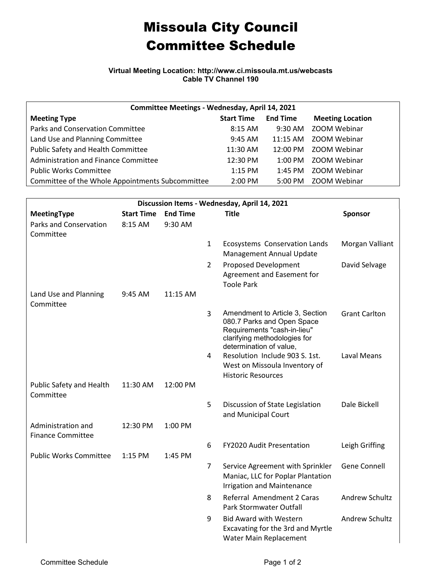## Missoula City Council Committee Schedule

**Virtual Meeting Location: http://www.ci.missoula.mt.us/webcasts Cable TV Channel 190**

| Committee Meetings - Wednesday, April 14, 2021   |                     |                   |                         |  |  |  |  |
|--------------------------------------------------|---------------------|-------------------|-------------------------|--|--|--|--|
| <b>Meeting Type</b>                              | <b>Start Time</b>   | <b>End Time</b>   | <b>Meeting Location</b> |  |  |  |  |
| <b>Parks and Conservation Committee</b>          | $8:15$ AM           | $9:30$ AM         | ZOOM Webinar            |  |  |  |  |
| Land Use and Planning Committee                  | $9:45$ AM           | $11:15$ AM        | ZOOM Webinar            |  |  |  |  |
| Public Safety and Health Committee               | 11:30 AM            | 12:00 PM          | ZOOM Webinar            |  |  |  |  |
| Administration and Finance Committee             | 12:30 PM            | $1:00$ PM         | ZOOM Webinar            |  |  |  |  |
| <b>Public Works Committee</b>                    | $1:15$ PM           | $1:45$ PM         | ZOOM Webinar            |  |  |  |  |
| Committee of the Whole Appointments Subcommittee | $2:00 \, \text{PM}$ | $5:00 \text{ PM}$ | ZOOM Webinar            |  |  |  |  |

| Discussion Items - Wednesday, April 14, 2021   |                   |                 |                |                                                                                                                                                         |                      |  |  |  |  |
|------------------------------------------------|-------------------|-----------------|----------------|---------------------------------------------------------------------------------------------------------------------------------------------------------|----------------------|--|--|--|--|
| <b>MeetingType</b>                             | <b>Start Time</b> | <b>End Time</b> |                | <b>Title</b>                                                                                                                                            | <b>Sponsor</b>       |  |  |  |  |
| Parks and Conservation<br>Committee            | 8:15 AM           | 9:30 AM         |                |                                                                                                                                                         |                      |  |  |  |  |
|                                                |                   |                 | $\mathbf{1}$   | Ecosystems Conservation Lands<br>Management Annual Update                                                                                               | Morgan Valliant      |  |  |  |  |
|                                                |                   |                 | $\overline{2}$ | <b>Proposed Development</b><br>Agreement and Easement for<br><b>Toole Park</b>                                                                          | David Selvage        |  |  |  |  |
| Land Use and Planning<br>Committee             | 9:45 AM           | 11:15 AM        |                |                                                                                                                                                         |                      |  |  |  |  |
|                                                |                   |                 | 3              | Amendment to Article 3, Section<br>080.7 Parks and Open Space<br>Requirements "cash-in-lieu"<br>clarifying methodologies for<br>determination of value, | <b>Grant Carlton</b> |  |  |  |  |
|                                                |                   |                 | 4              | Resolution Include 903 S. 1st.<br>West on Missoula Inventory of<br><b>Historic Resources</b>                                                            | <b>Laval Means</b>   |  |  |  |  |
| Public Safety and Health<br>Committee          | 11:30 AM          | 12:00 PM        |                |                                                                                                                                                         |                      |  |  |  |  |
|                                                |                   |                 | 5              | Discussion of State Legislation<br>and Municipal Court                                                                                                  | Dale Bickell         |  |  |  |  |
| Administration and<br><b>Finance Committee</b> | 12:30 PM          | 1:00 PM         |                |                                                                                                                                                         |                      |  |  |  |  |
| <b>Public Works Committee</b>                  | 1:15 PM           | 1:45 PM         | 6              | <b>FY2020 Audit Presentation</b>                                                                                                                        | Leigh Griffing       |  |  |  |  |
|                                                |                   |                 | 7              | Service Agreement with Sprinkler<br>Maniac, LLC for Poplar Plantation<br><b>Irrigation and Maintenance</b>                                              | <b>Gene Connell</b>  |  |  |  |  |
|                                                |                   |                 | 8              | Referral Amendment 2 Caras<br>Park Stormwater Outfall                                                                                                   | Andrew Schultz       |  |  |  |  |
|                                                |                   |                 | 9              | <b>Bid Award with Western</b><br>Excavating for the 3rd and Myrtle<br>Water Main Replacement                                                            | Andrew Schultz       |  |  |  |  |